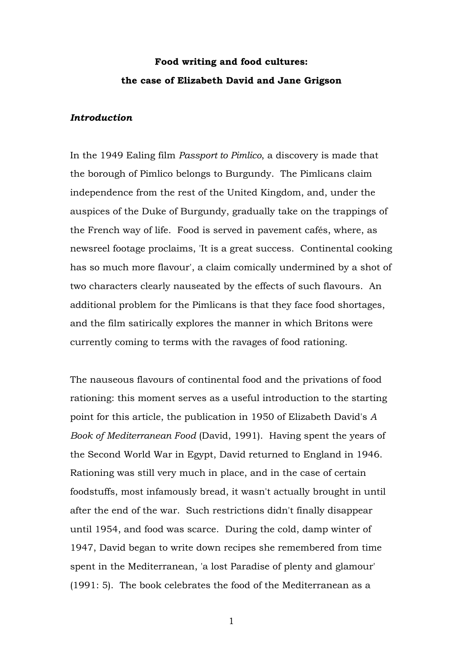# **Food writing and food cultures: the case of Elizabeth David and Jane Grigson**

## *Introduction*

In the 1949 Ealing film *Passport to Pimlico*, a discovery is made that the borough of Pimlico belongs to Burgundy. The Pimlicans claim independence from the rest of the United Kingdom, and, under the auspices of the Duke of Burgundy, gradually take on the trappings of the French way of life. Food is served in pavement cafés, where, as newsreel footage proclaims, 'It is a great success. Continental cooking has so much more flavour', a claim comically undermined by a shot of two characters clearly nauseated by the effects of such flavours. An additional problem for the Pimlicans is that they face food shortages, and the film satirically explores the manner in which Britons were currently coming to terms with the ravages of food rationing.

The nauseous flavours of continental food and the privations of food rationing: this moment serves as a useful introduction to the starting point for this article, the publication in 1950 of Elizabeth David's *A Book of Mediterranean Food* (David, 1991). Having spent the years of the Second World War in Egypt, David returned to England in 1946. Rationing was still very much in place, and in the case of certain foodstuffs, most infamously bread, it wasn't actually brought in until after the end of the war. Such restrictions didn't finally disappear until 1954, and food was scarce. During the cold, damp winter of 1947, David began to write down recipes she remembered from time spent in the Mediterranean, 'a lost Paradise of plenty and glamour' (1991: 5). The book celebrates the food of the Mediterranean as a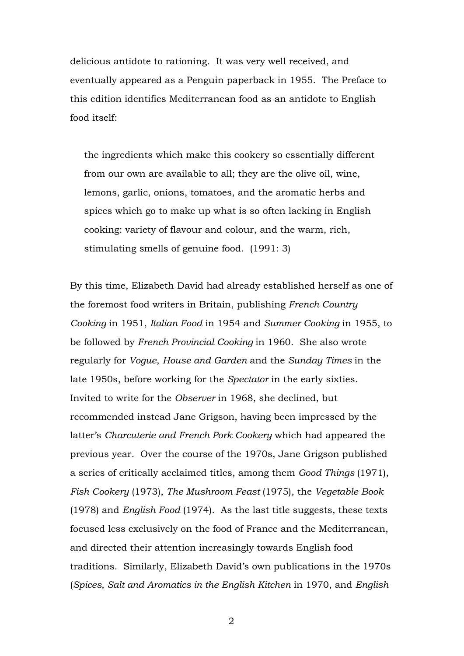delicious antidote to rationing. It was very well received, and eventually appeared as a Penguin paperback in 1955. The Preface to this edition identifies Mediterranean food as an antidote to English food itself:

the ingredients which make this cookery so essentially different from our own are available to all; they are the olive oil, wine, lemons, garlic, onions, tomatoes, and the aromatic herbs and spices which go to make up what is so often lacking in English cooking: variety of flavour and colour, and the warm, rich, stimulating smells of genuine food. (1991: 3)

By this time, Elizabeth David had already established herself as one of the foremost food writers in Britain, publishing *French Country Cooking* in 1951, *Italian Food* in 1954 and *Summer Cooking* in 1955, to be followed by *French Provincial Cooking* in 1960. She also wrote regularly for *Vogue*, *House and Garden* and the *Sunday Times* in the late 1950s, before working for the *Spectator* in the early sixties. Invited to write for the *Observer* in 1968, she declined, but recommended instead Jane Grigson, having been impressed by the latter's *Charcuterie and French Pork Cookery* which had appeared the previous year. Over the course of the 1970s, Jane Grigson published a series of critically acclaimed titles, among them *Good Things* (1971), *Fish Cookery* (1973), *The Mushroom Feast* (1975), the *Vegetable Book*  (1978) and *English Food* (1974). As the last title suggests, these texts focused less exclusively on the food of France and the Mediterranean, and directed their attention increasingly towards English food traditions. Similarly, Elizabeth David's own publications in the 1970s (*Spices, Salt and Aromatics in the English Kitchen* in 1970, and *English*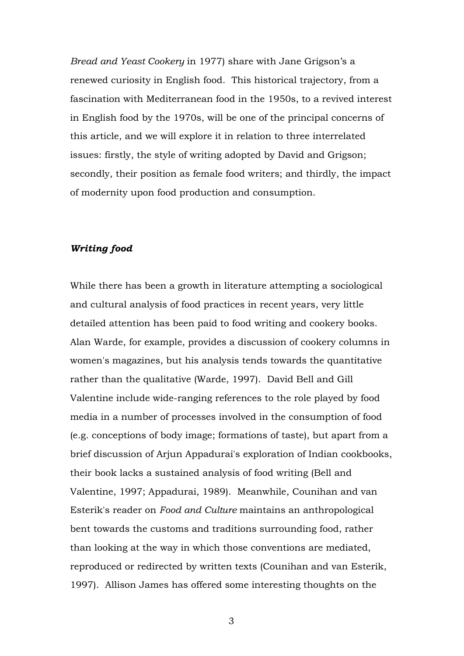*Bread and Yeast Cookery* in 1977) share with Jane Grigson's a renewed curiosity in English food. This historical trajectory, from a fascination with Mediterranean food in the 1950s, to a revived interest in English food by the 1970s, will be one of the principal concerns of this article, and we will explore it in relation to three interrelated issues: firstly, the style of writing adopted by David and Grigson; secondly, their position as female food writers; and thirdly, the impact of modernity upon food production and consumption.

## *Writing food*

While there has been a growth in literature attempting a sociological and cultural analysis of food practices in recent years, very little detailed attention has been paid to food writing and cookery books. Alan Warde, for example, provides a discussion of cookery columns in women's magazines, but his analysis tends towards the quantitative rather than the qualitative (Warde, 1997). David Bell and Gill Valentine include wide-ranging references to the role played by food media in a number of processes involved in the consumption of food (e.g. conceptions of body image; formations of taste), but apart from a brief discussion of Arjun Appadurai's exploration of Indian cookbooks, their book lacks a sustained analysis of food writing (Bell and Valentine, 1997; Appadurai, 1989). Meanwhile, Counihan and van Esterik's reader on *Food and Culture* maintains an anthropological bent towards the customs and traditions surrounding food, rather than looking at the way in which those conventions are mediated, reproduced or redirected by written texts (Counihan and van Esterik, 1997). Allison James has offered some interesting thoughts on the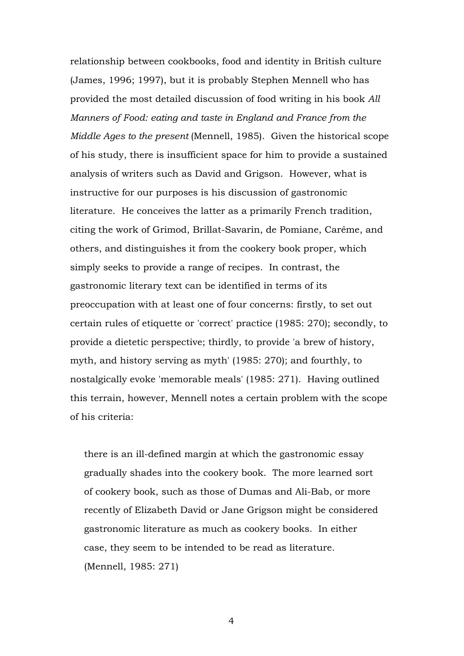relationship between cookbooks, food and identity in British culture (James, 1996; 1997), but it is probably Stephen Mennell who has provided the most detailed discussion of food writing in his book *All Manners of Food: eating and taste in England and France from the Middle Ages to the present* (Mennell, 1985). Given the historical scope of his study, there is insufficient space for him to provide a sustained analysis of writers such as David and Grigson. However, what is instructive for our purposes is his discussion of gastronomic literature. He conceives the latter as a primarily French tradition, citing the work of Grimod, Brillat-Savarin, de Pomiane, Carême, and others, and distinguishes it from the cookery book proper, which simply seeks to provide a range of recipes. In contrast, the gastronomic literary text can be identified in terms of its preoccupation with at least one of four concerns: firstly, to set out certain rules of etiquette or 'correct' practice (1985: 270); secondly, to provide a dietetic perspective; thirdly, to provide 'a brew of history, myth, and history serving as myth' (1985: 270); and fourthly, to nostalgically evoke 'memorable meals' (1985: 271). Having outlined this terrain, however, Mennell notes a certain problem with the scope of his criteria:

there is an ill-defined margin at which the gastronomic essay gradually shades into the cookery book. The more learned sort of cookery book, such as those of Dumas and Ali-Bab, or more recently of Elizabeth David or Jane Grigson might be considered gastronomic literature as much as cookery books. In either case, they seem to be intended to be read as literature. (Mennell, 1985: 271)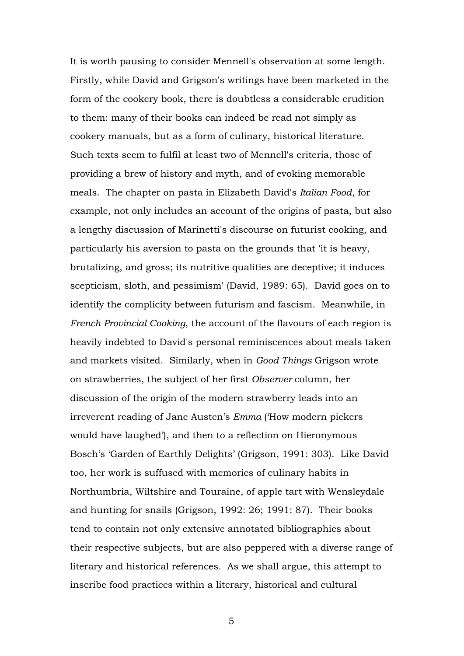It is worth pausing to consider Mennell's observation at some length. Firstly, while David and Grigson's writings have been marketed in the form of the cookery book, there is doubtless a considerable erudition to them: many of their books can indeed be read not simply as cookery manuals, but as a form of culinary, historical literature. Such texts seem to fulfil at least two of Mennell's criteria, those of providing a brew of history and myth, and of evoking memorable meals. The chapter on pasta in Elizabeth David's *Italian Food*, for example, not only includes an account of the origins of pasta, but also a lengthy discussion of Marinetti's discourse on futurist cooking, and particularly his aversion to pasta on the grounds that 'it is heavy, brutalizing, and gross; its nutritive qualities are deceptive; it induces scepticism, sloth, and pessimism' (David, 1989: 65). David goes on to identify the complicity between futurism and fascism. Meanwhile, in *French Provincial Cooking*, the account of the flavours of each region is heavily indebted to David's personal reminiscences about meals taken and markets visited. Similarly, when in *Good Things* Grigson wrote on strawberries, the subject of her first *Observer* column, her discussion of the origin of the modern strawberry leads into an irreverent reading of Jane Austen's *Emma* ('How modern pickers would have laughed'), and then to a reflection on Hieronymous Bosch's 'Garden of Earthly Delights' (Grigson, 1991: 303). Like David too, her work is suffused with memories of culinary habits in Northumbria, Wiltshire and Touraine, of apple tart with Wensleydale and hunting for snails (Grigson, 1992: 26; 1991: 87). Their books tend to contain not only extensive annotated bibliographies about their respective subjects, but are also peppered with a diverse range of literary and historical references. As we shall argue, this attempt to inscribe food practices within a literary, historical and cultural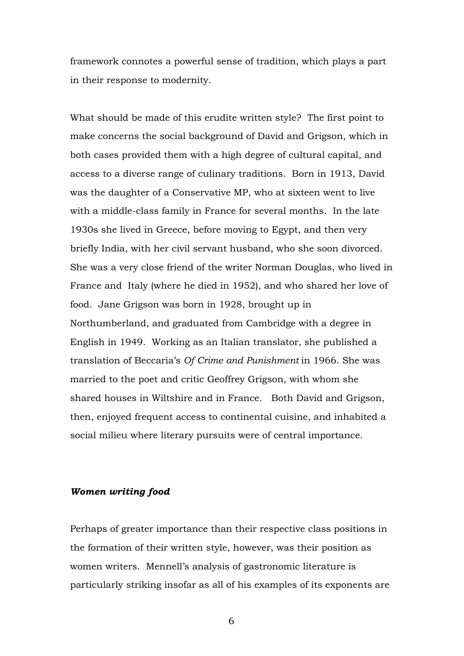framework connotes a powerful sense of tradition, which plays a part in their response to modernity.

What should be made of this erudite written style? The first point to make concerns the social background of David and Grigson, which in both cases provided them with a high degree of cultural capital, and access to a diverse range of culinary traditions. Born in 1913, David was the daughter of a Conservative MP, who at sixteen went to live with a middle-class family in France for several months. In the late 1930s she lived in Greece, before moving to Egypt, and then very briefly India, with her civil servant husband, who she soon divorced. She was a very close friend of the writer Norman Douglas, who lived in France and Italy (where he died in 1952), and who shared her love of food. Jane Grigson was born in 1928, brought up in Northumberland, and graduated from Cambridge with a degree in English in 1949. Working as an Italian translator, she published a translation of Beccaria's *Of Crime and Punishment* in 1966. She was married to the poet and critic Geoffrey Grigson, with whom she shared houses in Wiltshire and in France. Both David and Grigson, then, enjoyed frequent access to continental cuisine, and inhabited a social milieu where literary pursuits were of central importance.

### *Women writing food*

Perhaps of greater importance than their respective class positions in the formation of their written style, however, was their position as women writers. Mennell's analysis of gastronomic literature is particularly striking insofar as all of his examples of its exponents are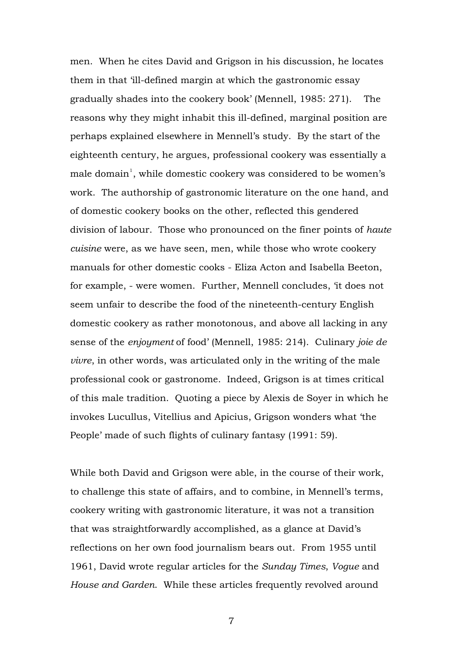men. When he cites David and Grigson in his discussion, he locates them in that 'ill-defined margin at which the gastronomic essay gradually shades into the cookery book' (Mennell, 1985: 271). The reasons why they might inhabit this ill-defined, marginal position are perhaps explained elsewhere in Mennell's study. By the start of the eighteenth century, he argues, professional cookery was essentially a male domain<sup>[1](#page-30-0)</sup>, while domestic cookery was considered to be women's work. The authorship of gastronomic literature on the one hand, and of domestic cookery books on the other, reflected this gendered division of labour. Those who pronounced on the finer points of *haute cuisine* were, as we have seen, men, while those who wrote cookery manuals for other domestic cooks - Eliza Acton and Isabella Beeton, for example, - were women. Further, Mennell concludes, 'it does not seem unfair to describe the food of the nineteenth-century English domestic cookery as rather monotonous, and above all lacking in any sense of the *enjoyment* of food' (Mennell, 1985: 214). Culinary *joie de vivre*, in other words, was articulated only in the writing of the male professional cook or gastronome. Indeed, Grigson is at times critical of this male tradition. Quoting a piece by Alexis de Soyer in which he invokes Lucullus, Vitellius and Apicius, Grigson wonders what 'the People' made of such flights of culinary fantasy (1991: 59).

While both David and Grigson were able, in the course of their work, to challenge this state of affairs, and to combine, in Mennell's terms, cookery writing with gastronomic literature, it was not a transition that was straightforwardly accomplished, as a glance at David's reflections on her own food journalism bears out. From 1955 until 1961, David wrote regular articles for the *Sunday Times*, *Vogue* and *House and Garden*. While these articles frequently revolved around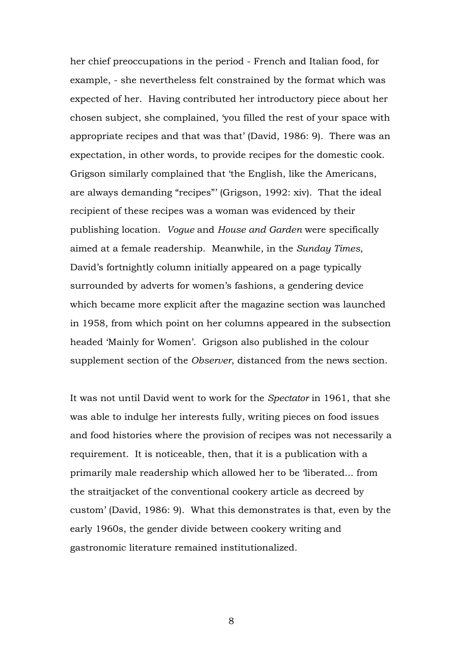her chief preoccupations in the period - French and Italian food, for example, - she nevertheless felt constrained by the format which was expected of her. Having contributed her introductory piece about her chosen subject, she complained, 'you filled the rest of your space with appropriate recipes and that was that' (David, 1986: 9). There was an expectation, in other words, to provide recipes for the domestic cook. Grigson similarly complained that 'the English, like the Americans, are always demanding "recipes"' (Grigson, 1992: xiv). That the ideal recipient of these recipes was a woman was evidenced by their publishing location. *Vogue* and *House and Garden* were specifically aimed at a female readership. Meanwhile, in the *Sunday Times*, David's fortnightly column initially appeared on a page typically surrounded by adverts for women's fashions, a gendering device which became more explicit after the magazine section was launched in 1958, from which point on her columns appeared in the subsection headed 'Mainly for Women'. Grigson also published in the colour supplement section of the *Observer*, distanced from the news section.

It was not until David went to work for the *Spectator* in 1961, that she was able to indulge her interests fully, writing pieces on food issues and food histories where the provision of recipes was not necessarily a requirement. It is noticeable, then, that it is a publication with a primarily male readership which allowed her to be 'liberated... from the straitjacket of the conventional cookery article as decreed by custom' (David, 1986: 9). What this demonstrates is that, even by the early 1960s, the gender divide between cookery writing and gastronomic literature remained institutionalized.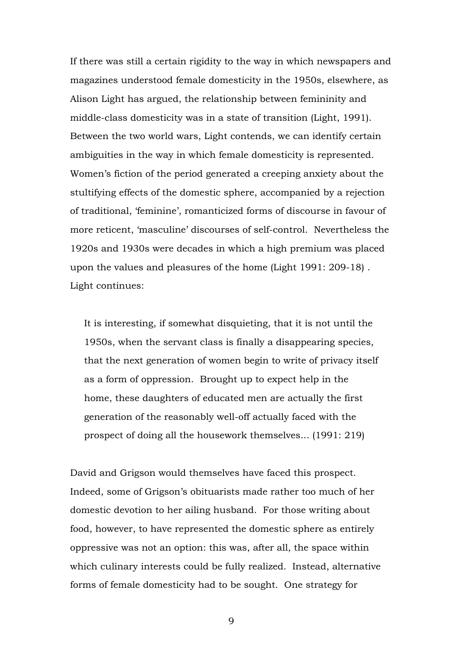If there was still a certain rigidity to the way in which newspapers and magazines understood female domesticity in the 1950s, elsewhere, as Alison Light has argued, the relationship between femininity and middle-class domesticity was in a state of transition (Light, 1991). Between the two world wars, Light contends, we can identify certain ambiguities in the way in which female domesticity is represented. Women's fiction of the period generated a creeping anxiety about the stultifying effects of the domestic sphere, accompanied by a rejection of traditional, 'feminine', romanticized forms of discourse in favour of more reticent, 'masculine' discourses of self-control. Nevertheless the 1920s and 1930s were decades in which a high premium was placed upon the values and pleasures of the home (Light 1991: 209-18) . Light continues:

It is interesting, if somewhat disquieting, that it is not until the 1950s, when the servant class is finally a disappearing species, that the next generation of women begin to write of privacy itself as a form of oppression. Brought up to expect help in the home, these daughters of educated men are actually the first generation of the reasonably well-off actually faced with the prospect of doing all the housework themselves... (1991: 219)

David and Grigson would themselves have faced this prospect. Indeed, some of Grigson's obituarists made rather too much of her domestic devotion to her ailing husband. For those writing about food, however, to have represented the domestic sphere as entirely oppressive was not an option: this was, after all, the space within which culinary interests could be fully realized. Instead, alternative forms of female domesticity had to be sought. One strategy for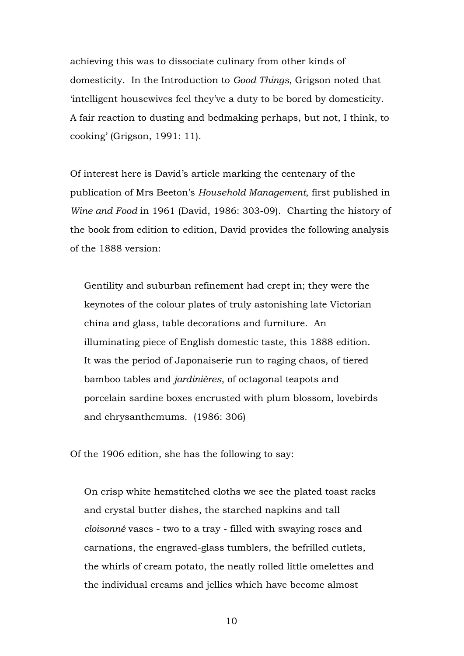achieving this was to dissociate culinary from other kinds of domesticity. In the Introduction to *Good Things*, Grigson noted that 'intelligent housewives feel they've a duty to be bored by domesticity. A fair reaction to dusting and bedmaking perhaps, but not, I think, to cooking' (Grigson, 1991: 11).

Of interest here is David's article marking the centenary of the publication of Mrs Beeton's *Household Management*, first published in *Wine and Food* in 1961 (David, 1986: 303-09). Charting the history of the book from edition to edition, David provides the following analysis of the 1888 version:

Gentility and suburban refinement had crept in; they were the keynotes of the colour plates of truly astonishing late Victorian china and glass, table decorations and furniture. An illuminating piece of English domestic taste, this 1888 edition. It was the period of Japonaiserie run to raging chaos, of tiered bamboo tables and *jardinières*, of octagonal teapots and porcelain sardine boxes encrusted with plum blossom, lovebirds and chrysanthemums. (1986: 306)

Of the 1906 edition, she has the following to say:

On crisp white hemstitched cloths we see the plated toast racks and crystal butter dishes, the starched napkins and tall *cloisonné* vases - two to a tray - filled with swaying roses and carnations, the engraved-glass tumblers, the befrilled cutlets, the whirls of cream potato, the neatly rolled little omelettes and the individual creams and jellies which have become almost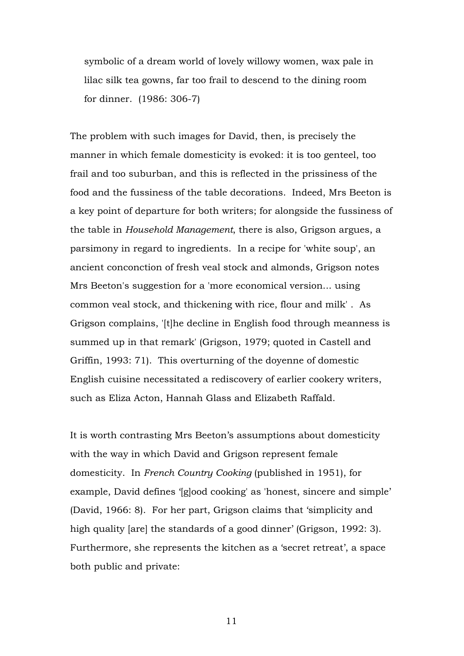symbolic of a dream world of lovely willowy women, wax pale in lilac silk tea gowns, far too frail to descend to the dining room for dinner. (1986: 306-7)

The problem with such images for David, then, is precisely the manner in which female domesticity is evoked: it is too genteel, too frail and too suburban, and this is reflected in the prissiness of the food and the fussiness of the table decorations. Indeed, Mrs Beeton is a key point of departure for both writers; for alongside the fussiness of the table in *Household Management*, there is also, Grigson argues, a parsimony in regard to ingredients. In a recipe for 'white soup', an ancient conconction of fresh veal stock and almonds, Grigson notes Mrs Beeton's suggestion for a 'more economical version... using common veal stock, and thickening with rice, flour and milk' . As Grigson complains, '[t]he decline in English food through meanness is summed up in that remark' (Grigson, 1979; quoted in Castell and Griffin, 1993: 71). This overturning of the doyenne of domestic English cuisine necessitated a rediscovery of earlier cookery writers, such as Eliza Acton, Hannah Glass and Elizabeth Raffald.

It is worth contrasting Mrs Beeton's assumptions about domesticity with the way in which David and Grigson represent female domesticity. In *French Country Cooking* (published in 1951), for example, David defines '[g]ood cooking' as 'honest, sincere and simple' (David, 1966: 8). For her part, Grigson claims that 'simplicity and high quality [are] the standards of a good dinner' (Grigson, 1992: 3). Furthermore, she represents the kitchen as a 'secret retreat', a space both public and private: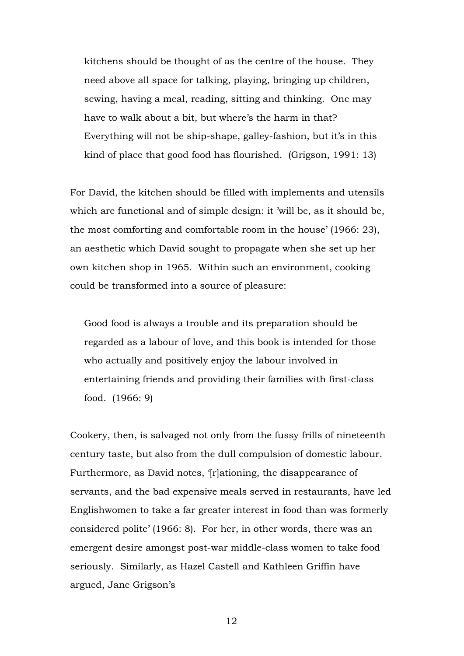kitchens should be thought of as the centre of the house. They need above all space for talking, playing, bringing up children, sewing, having a meal, reading, sitting and thinking. One may have to walk about a bit, but where's the harm in that? Everything will not be ship-shape, galley-fashion, but it's in this kind of place that good food has flourished. (Grigson, 1991: 13)

For David, the kitchen should be filled with implements and utensils which are functional and of simple design: it 'will be, as it should be, the most comforting and comfortable room in the house' (1966: 23), an aesthetic which David sought to propagate when she set up her own kitchen shop in 1965. Within such an environment, cooking could be transformed into a source of pleasure:

Good food is always a trouble and its preparation should be regarded as a labour of love, and this book is intended for those who actually and positively enjoy the labour involved in entertaining friends and providing their families with first-class food. (1966: 9)

Cookery, then, is salvaged not only from the fussy frills of nineteenth century taste, but also from the dull compulsion of domestic labour. Furthermore, as David notes, '[r]ationing, the disappearance of servants, and the bad expensive meals served in restaurants, have led Englishwomen to take a far greater interest in food than was formerly considered polite' (1966: 8). For her, in other words, there was an emergent desire amongst post-war middle-class women to take food seriously. Similarly, as Hazel Castell and Kathleen Griffin have argued, Jane Grigson's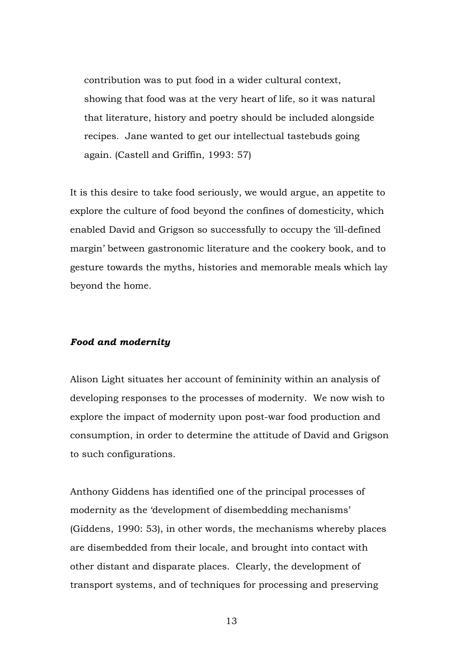contribution was to put food in a wider cultural context, showing that food was at the very heart of life, so it was natural that literature, history and poetry should be included alongside recipes. Jane wanted to get our intellectual tastebuds going again. (Castell and Griffin, 1993: 57)

It is this desire to take food seriously, we would argue, an appetite to explore the culture of food beyond the confines of domesticity, which enabled David and Grigson so successfully to occupy the 'ill-defined margin' between gastronomic literature and the cookery book, and to gesture towards the myths, histories and memorable meals which lay beyond the home.

## *Food and modernity*

Alison Light situates her account of femininity within an analysis of developing responses to the processes of modernity. We now wish to explore the impact of modernity upon post-war food production and consumption, in order to determine the attitude of David and Grigson to such configurations.

Anthony Giddens has identified one of the principal processes of modernity as the 'development of disembedding mechanisms' (Giddens, 1990: 53), in other words, the mechanisms whereby places are disembedded from their locale, and brought into contact with other distant and disparate places. Clearly, the development of transport systems, and of techniques for processing and preserving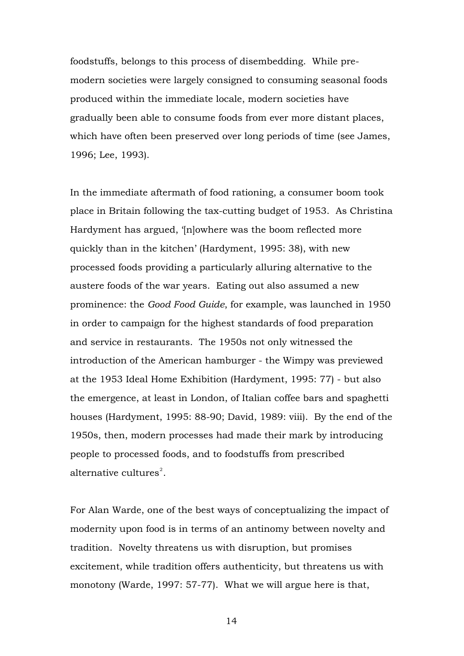foodstuffs, belongs to this process of disembedding. While premodern societies were largely consigned to consuming seasonal foods produced within the immediate locale, modern societies have gradually been able to consume foods from ever more distant places, which have often been preserved over long periods of time (see James, 1996; Lee, 1993).

In the immediate aftermath of food rationing, a consumer boom took place in Britain following the tax-cutting budget of 1953. As Christina Hardyment has argued, '[n]owhere was the boom reflected more quickly than in the kitchen' (Hardyment, 1995: 38), with new processed foods providing a particularly alluring alternative to the austere foods of the war years. Eating out also assumed a new prominence: the *Good Food Guide*, for example, was launched in 1950 in order to campaign for the highest standards of food preparation and service in restaurants. The 1950s not only witnessed the introduction of the American hamburger - the Wimpy was previewed at the 1953 Ideal Home Exhibition (Hardyment, 1995: 77) - but also the emergence, at least in London, of Italian coffee bars and spaghetti houses (Hardyment, 1995: 88-90; David, 1989: viii). By the end of the 1950s, then, modern processes had made their mark by introducing people to processed foods, and to foodstuffs from prescribed alternative cultures $^{2}$  $^{2}$  $^{2}$ .

For Alan Warde, one of the best ways of conceptualizing the impact of modernity upon food is in terms of an antinomy between novelty and tradition. Novelty threatens us with disruption, but promises excitement, while tradition offers authenticity, but threatens us with monotony (Warde, 1997: 57-77). What we will argue here is that,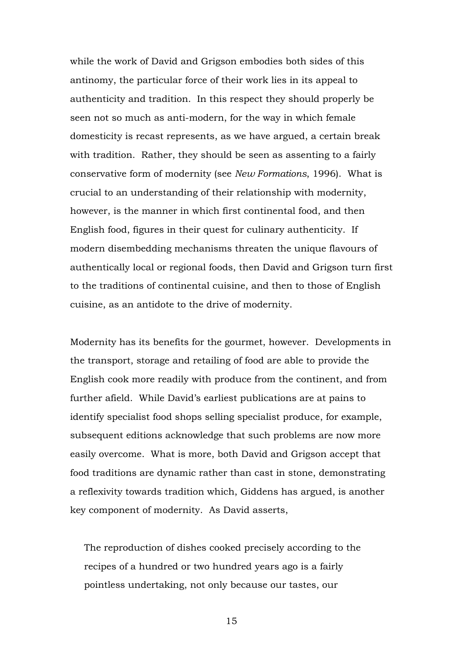while the work of David and Grigson embodies both sides of this antinomy, the particular force of their work lies in its appeal to authenticity and tradition. In this respect they should properly be seen not so much as anti-modern, for the way in which female domesticity is recast represents, as we have argued, a certain break with tradition. Rather, they should be seen as assenting to a fairly conservative form of modernity (see *New Formations*, 1996). What is crucial to an understanding of their relationship with modernity, however, is the manner in which first continental food, and then English food, figures in their quest for culinary authenticity. If modern disembedding mechanisms threaten the unique flavours of authentically local or regional foods, then David and Grigson turn first to the traditions of continental cuisine, and then to those of English cuisine, as an antidote to the drive of modernity.

Modernity has its benefits for the gourmet, however. Developments in the transport, storage and retailing of food are able to provide the English cook more readily with produce from the continent, and from further afield. While David's earliest publications are at pains to identify specialist food shops selling specialist produce, for example, subsequent editions acknowledge that such problems are now more easily overcome. What is more, both David and Grigson accept that food traditions are dynamic rather than cast in stone, demonstrating a reflexivity towards tradition which, Giddens has argued, is another key component of modernity. As David asserts,

The reproduction of dishes cooked precisely according to the recipes of a hundred or two hundred years ago is a fairly pointless undertaking, not only because our tastes, our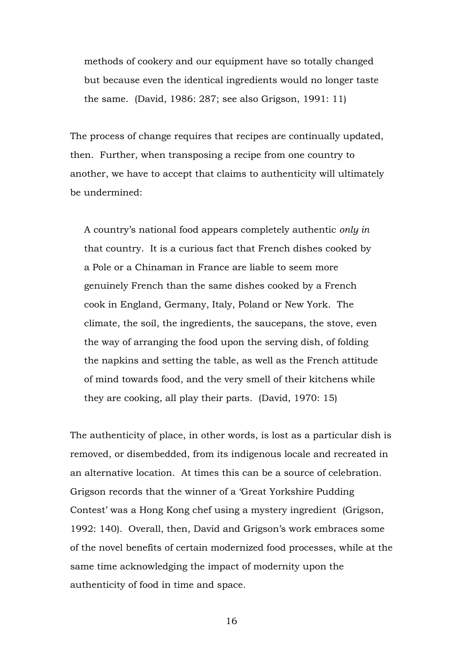methods of cookery and our equipment have so totally changed but because even the identical ingredients would no longer taste the same. (David, 1986: 287; see also Grigson, 1991: 11)

The process of change requires that recipes are continually updated, then. Further, when transposing a recipe from one country to another, we have to accept that claims to authenticity will ultimately be undermined:

A country's national food appears completely authentic *only in* that country. It is a curious fact that French dishes cooked by a Pole or a Chinaman in France are liable to seem more genuinely French than the same dishes cooked by a French cook in England, Germany, Italy, Poland or New York. The climate, the soil, the ingredients, the saucepans, the stove, even the way of arranging the food upon the serving dish, of folding the napkins and setting the table, as well as the French attitude of mind towards food, and the very smell of their kitchens while they are cooking, all play their parts. (David, 1970: 15)

The authenticity of place, in other words, is lost as a particular dish is removed, or disembedded, from its indigenous locale and recreated in an alternative location. At times this can be a source of celebration. Grigson records that the winner of a 'Great Yorkshire Pudding Contest' was a Hong Kong chef using a mystery ingredient (Grigson, 1992: 140). Overall, then, David and Grigson's work embraces some of the novel benefits of certain modernized food processes, while at the same time acknowledging the impact of modernity upon the authenticity of food in time and space.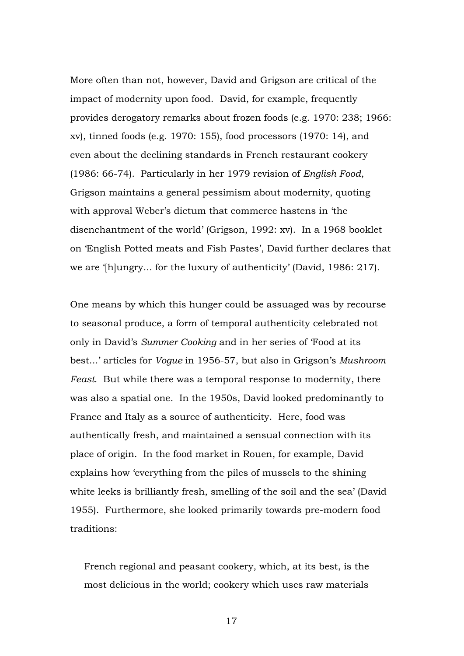More often than not, however, David and Grigson are critical of the impact of modernity upon food. David, for example, frequently provides derogatory remarks about frozen foods (e.g. 1970: 238; 1966: xv), tinned foods (e.g. 1970: 155), food processors (1970: 14), and even about the declining standards in French restaurant cookery (1986: 66-74). Particularly in her 1979 revision of *English Food*, Grigson maintains a general pessimism about modernity, quoting with approval Weber's dictum that commerce hastens in 'the disenchantment of the world' (Grigson, 1992: xv). In a 1968 booklet on 'English Potted meats and Fish Pastes', David further declares that we are '[h]ungry... for the luxury of authenticity' (David, 1986: 217).

One means by which this hunger could be assuaged was by recourse to seasonal produce, a form of temporal authenticity celebrated not only in David's *Summer Cooking* and in her series of 'Food at its best...' articles for *Vogue* in 1956-57, but also in Grigson's *Mushroom Feast*. But while there was a temporal response to modernity, there was also a spatial one. In the 1950s, David looked predominantly to France and Italy as a source of authenticity. Here, food was authentically fresh, and maintained a sensual connection with its place of origin. In the food market in Rouen, for example, David explains how 'everything from the piles of mussels to the shining white leeks is brilliantly fresh, smelling of the soil and the sea' (David 1955). Furthermore, she looked primarily towards pre-modern food traditions:

French regional and peasant cookery, which, at its best, is the most delicious in the world; cookery which uses raw materials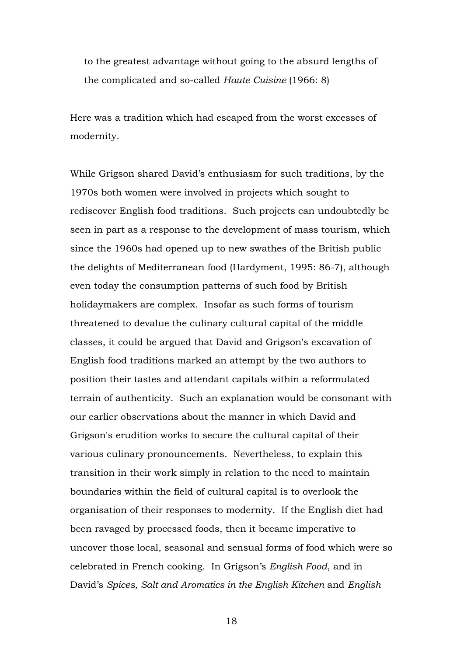to the greatest advantage without going to the absurd lengths of the complicated and so-called *Haute Cuisine* (1966: 8)

Here was a tradition which had escaped from the worst excesses of modernity.

While Grigson shared David's enthusiasm for such traditions, by the 1970s both women were involved in projects which sought to rediscover English food traditions. Such projects can undoubtedly be seen in part as a response to the development of mass tourism, which since the 1960s had opened up to new swathes of the British public the delights of Mediterranean food (Hardyment, 1995: 86-7), although even today the consumption patterns of such food by British holidaymakers are complex. Insofar as such forms of tourism threatened to devalue the culinary cultural capital of the middle classes, it could be argued that David and Grigson's excavation of English food traditions marked an attempt by the two authors to position their tastes and attendant capitals within a reformulated terrain of authenticity. Such an explanation would be consonant with our earlier observations about the manner in which David and Grigson's erudition works to secure the cultural capital of their various culinary pronouncements. Nevertheless, to explain this transition in their work simply in relation to the need to maintain boundaries within the field of cultural capital is to overlook the organisation of their responses to modernity. If the English diet had been ravaged by processed foods, then it became imperative to uncover those local, seasonal and sensual forms of food which were so celebrated in French cooking. In Grigson's *English Food*, and in David's *Spices, Salt and Aromatics in the English Kitchen* and *English*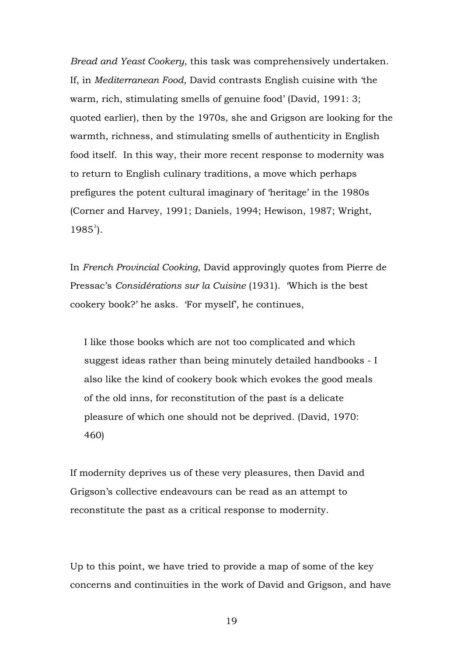*Bread and Yeast Cookery*, this task was comprehensively undertaken. If, in *Mediterranean Food*, David contrasts English cuisine with 'the warm, rich, stimulating smells of genuine food' (David, 1991: 3; quoted earlier), then by the 1970s, she and Grigson are looking for the warmth, richness, and stimulating smells of authenticity in English food itself. In this way, their more recent response to modernity was to return to English culinary traditions, a move which perhaps prefigures the potent cultural imaginary of 'heritage' in the 1980s (Corner and Harvey, 1991; Daniels, 1994; Hewison, 1987; Wright,  $1985^3$  $1985^3$ ).

In *French Provincial Cooking*, David approvingly quotes from Pierre de Pressac's *Considérations sur la Cuisine* (1931). 'Which is the best cookery book?' he asks. 'For myself', he continues,

I like those books which are not too complicated and which suggest ideas rather than being minutely detailed handbooks - I also like the kind of cookery book which evokes the good meals of the old inns, for reconstitution of the past is a delicate pleasure of which one should not be deprived. (David, 1970: 460)

If modernity deprives us of these very pleasures, then David and Grigson's collective endeavours can be read as an attempt to reconstitute the past as a critical response to modernity.

Up to this point, we have tried to provide a map of some of the key concerns and continuities in the work of David and Grigson, and have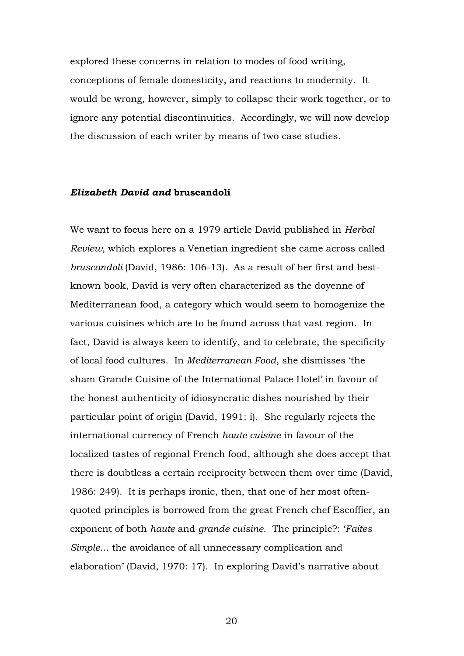explored these concerns in relation to modes of food writing, conceptions of female domesticity, and reactions to modernity. It would be wrong, however, simply to collapse their work together, or to ignore any potential discontinuities. Accordingly, we will now develop the discussion of each writer by means of two case studies.

#### *Elizabeth David and* **bruscandoli**

We want to focus here on a 1979 article David published in *Herbal Review*, which explores a Venetian ingredient she came across called *bruscandoli* (David, 1986: 106-13). As a result of her first and bestknown book, David is very often characterized as the doyenne of Mediterranean food, a category which would seem to homogenize the various cuisines which are to be found across that vast region. In fact, David is always keen to identify, and to celebrate, the specificity of local food cultures. In *Mediterranean Food*, she dismisses 'the sham Grande Cuisine of the International Palace Hotel' in favour of the honest authenticity of idiosyncratic dishes nourished by their particular point of origin (David, 1991: i). She regularly rejects the international currency of French *haute cuisine* in favour of the localized tastes of regional French food, although she does accept that there is doubtless a certain reciprocity between them over time (David, 1986: 249). It is perhaps ironic, then, that one of her most oftenquoted principles is borrowed from the great French chef Escoffier, an exponent of both *haute* and *grande cuisine*. The principle?: '*Faites Simple*... the avoidance of all unnecessary complication and elaboration' (David, 1970: 17). In exploring David's narrative about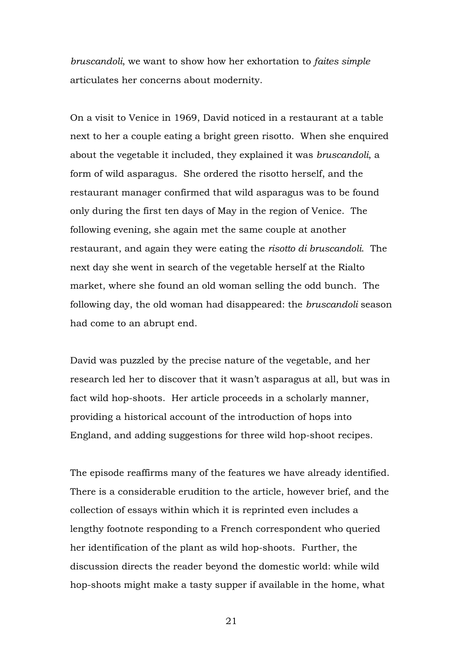*bruscandoli*, we want to show how her exhortation to *faites simple* articulates her concerns about modernity.

On a visit to Venice in 1969, David noticed in a restaurant at a table next to her a couple eating a bright green risotto. When she enquired about the vegetable it included, they explained it was *bruscandoli*, a form of wild asparagus. She ordered the risotto herself, and the restaurant manager confirmed that wild asparagus was to be found only during the first ten days of May in the region of Venice. The following evening, she again met the same couple at another restaurant, and again they were eating the *risotto di bruscandoli*. The next day she went in search of the vegetable herself at the Rialto market, where she found an old woman selling the odd bunch. The following day, the old woman had disappeared: the *bruscandoli* season had come to an abrupt end.

David was puzzled by the precise nature of the vegetable, and her research led her to discover that it wasn't asparagus at all, but was in fact wild hop-shoots. Her article proceeds in a scholarly manner, providing a historical account of the introduction of hops into England, and adding suggestions for three wild hop-shoot recipes.

The episode reaffirms many of the features we have already identified. There is a considerable erudition to the article, however brief, and the collection of essays within which it is reprinted even includes a lengthy footnote responding to a French correspondent who queried her identification of the plant as wild hop-shoots. Further, the discussion directs the reader beyond the domestic world: while wild hop-shoots might make a tasty supper if available in the home, what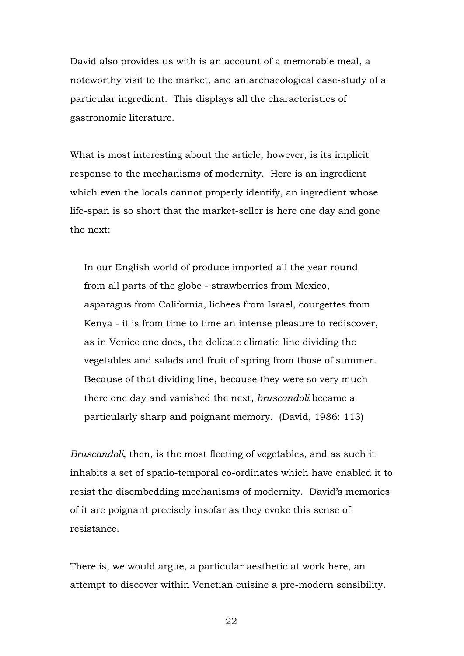David also provides us with is an account of a memorable meal, a noteworthy visit to the market, and an archaeological case-study of a particular ingredient. This displays all the characteristics of gastronomic literature.

What is most interesting about the article, however, is its implicit response to the mechanisms of modernity. Here is an ingredient which even the locals cannot properly identify, an ingredient whose life-span is so short that the market-seller is here one day and gone the next:

In our English world of produce imported all the year round from all parts of the globe - strawberries from Mexico, asparagus from California, lichees from Israel, courgettes from Kenya - it is from time to time an intense pleasure to rediscover, as in Venice one does, the delicate climatic line dividing the vegetables and salads and fruit of spring from those of summer. Because of that dividing line, because they were so very much there one day and vanished the next, *bruscandoli* became a particularly sharp and poignant memory. (David, 1986: 113)

*Bruscandoli*, then, is the most fleeting of vegetables, and as such it inhabits a set of spatio-temporal co-ordinates which have enabled it to resist the disembedding mechanisms of modernity. David's memories of it are poignant precisely insofar as they evoke this sense of resistance.

There is, we would argue, a particular aesthetic at work here, an attempt to discover within Venetian cuisine a pre-modern sensibility.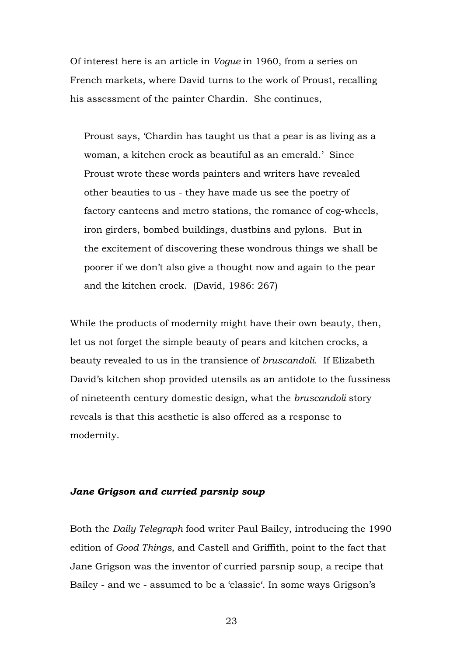Of interest here is an article in *Vogue* in 1960, from a series on French markets, where David turns to the work of Proust, recalling his assessment of the painter Chardin. She continues,

Proust says, 'Chardin has taught us that a pear is as living as a woman, a kitchen crock as beautiful as an emerald.' Since Proust wrote these words painters and writers have revealed other beauties to us - they have made us see the poetry of factory canteens and metro stations, the romance of cog-wheels, iron girders, bombed buildings, dustbins and pylons. But in the excitement of discovering these wondrous things we shall be poorer if we don't also give a thought now and again to the pear and the kitchen crock. (David, 1986: 267)

While the products of modernity might have their own beauty, then, let us not forget the simple beauty of pears and kitchen crocks, a beauty revealed to us in the transience of *bruscandoli*. If Elizabeth David's kitchen shop provided utensils as an antidote to the fussiness of nineteenth century domestic design, what the *bruscandoli* story reveals is that this aesthetic is also offered as a response to modernity.

### *Jane Grigson and curried parsnip soup*

Both the *Daily Telegraph* food writer Paul Bailey, introducing the 1990 edition of *Good Things*, and Castell and Griffith, point to the fact that Jane Grigson was the inventor of curried parsnip soup, a recipe that Bailey - and we - assumed to be a 'classic'. In some ways Grigson's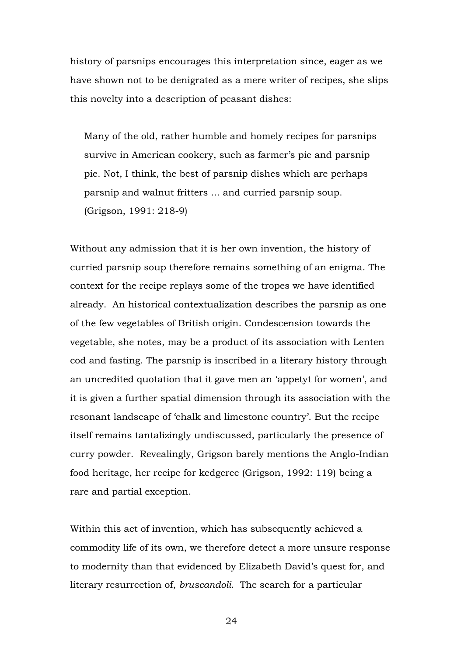history of parsnips encourages this interpretation since, eager as we have shown not to be denigrated as a mere writer of recipes, she slips this novelty into a description of peasant dishes:

Many of the old, rather humble and homely recipes for parsnips survive in American cookery, such as farmer's pie and parsnip pie. Not, I think, the best of parsnip dishes which are perhaps parsnip and walnut fritters ... and curried parsnip soup. (Grigson, 1991: 218-9)

Without any admission that it is her own invention, the history of curried parsnip soup therefore remains something of an enigma. The context for the recipe replays some of the tropes we have identified already. An historical contextualization describes the parsnip as one of the few vegetables of British origin. Condescension towards the vegetable, she notes, may be a product of its association with Lenten cod and fasting. The parsnip is inscribed in a literary history through an uncredited quotation that it gave men an 'appetyt for women', and it is given a further spatial dimension through its association with the resonant landscape of 'chalk and limestone country'. But the recipe itself remains tantalizingly undiscussed, particularly the presence of curry powder. Revealingly, Grigson barely mentions the Anglo-Indian food heritage, her recipe for kedgeree (Grigson, 1992: 119) being a rare and partial exception.

Within this act of invention, which has subsequently achieved a commodity life of its own, we therefore detect a more unsure response to modernity than that evidenced by Elizabeth David's quest for, and literary resurrection of, *bruscandoli*. The search for a particular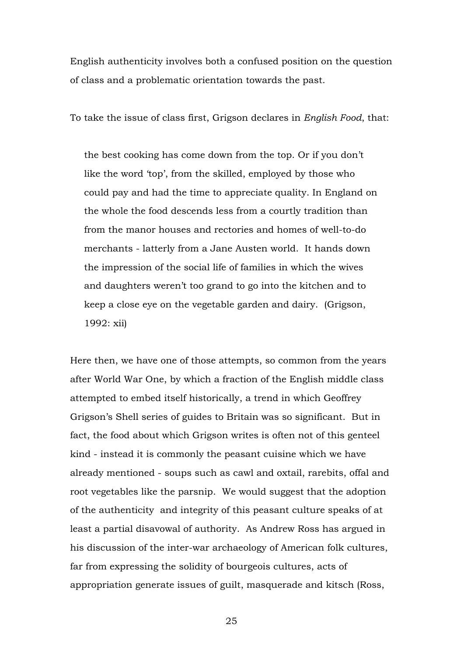English authenticity involves both a confused position on the question of class and a problematic orientation towards the past.

To take the issue of class first, Grigson declares in *English Food*, that:

the best cooking has come down from the top. Or if you don't like the word 'top', from the skilled, employed by those who could pay and had the time to appreciate quality. In England on the whole the food descends less from a courtly tradition than from the manor houses and rectories and homes of well-to-do merchants - latterly from a Jane Austen world. It hands down the impression of the social life of families in which the wives and daughters weren't too grand to go into the kitchen and to keep a close eye on the vegetable garden and dairy. (Grigson, 1992: xii)

Here then, we have one of those attempts, so common from the years after World War One, by which a fraction of the English middle class attempted to embed itself historically, a trend in which Geoffrey Grigson's Shell series of guides to Britain was so significant. But in fact, the food about which Grigson writes is often not of this genteel kind - instead it is commonly the peasant cuisine which we have already mentioned - soups such as cawl and oxtail, rarebits, offal and root vegetables like the parsnip. We would suggest that the adoption of the authenticity and integrity of this peasant culture speaks of at least a partial disavowal of authority. As Andrew Ross has argued in his discussion of the inter-war archaeology of American folk cultures, far from expressing the solidity of bourgeois cultures, acts of appropriation generate issues of guilt, masquerade and kitsch (Ross,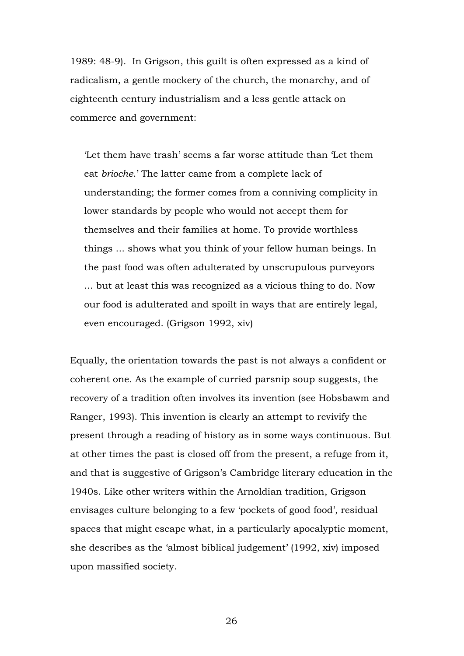1989: 48-9). In Grigson, this guilt is often expressed as a kind of radicalism, a gentle mockery of the church, the monarchy, and of eighteenth century industrialism and a less gentle attack on commerce and government:

'Let them have trash' seems a far worse attitude than 'Let them eat *brioche*.' The latter came from a complete lack of understanding; the former comes from a conniving complicity in lower standards by people who would not accept them for themselves and their families at home. To provide worthless things ... shows what you think of your fellow human beings. In the past food was often adulterated by unscrupulous purveyors ... but at least this was recognized as a vicious thing to do. Now our food is adulterated and spoilt in ways that are entirely legal, even encouraged. (Grigson 1992, xiv)

Equally, the orientation towards the past is not always a confident or coherent one. As the example of curried parsnip soup suggests, the recovery of a tradition often involves its invention (see Hobsbawm and Ranger, 1993). This invention is clearly an attempt to revivify the present through a reading of history as in some ways continuous. But at other times the past is closed off from the present, a refuge from it, and that is suggestive of Grigson's Cambridge literary education in the 1940s. Like other writers within the Arnoldian tradition, Grigson envisages culture belonging to a few 'pockets of good food', residual spaces that might escape what, in a particularly apocalyptic moment, she describes as the 'almost biblical judgement' (1992, xiv) imposed upon massified society.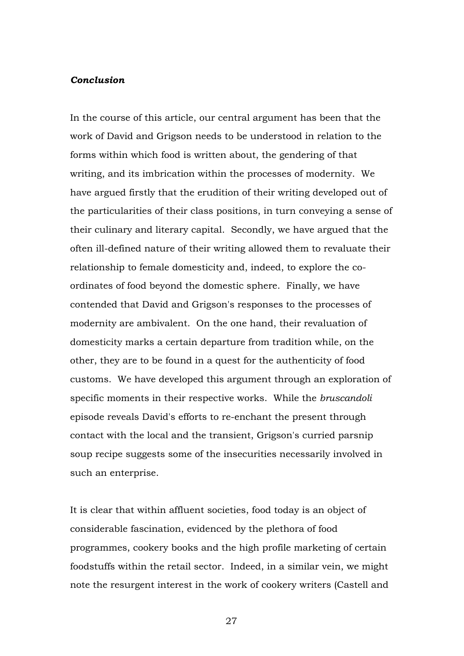#### *Conclusion*

In the course of this article, our central argument has been that the work of David and Grigson needs to be understood in relation to the forms within which food is written about, the gendering of that writing, and its imbrication within the processes of modernity. We have argued firstly that the erudition of their writing developed out of the particularities of their class positions, in turn conveying a sense of their culinary and literary capital. Secondly, we have argued that the often ill-defined nature of their writing allowed them to revaluate their relationship to female domesticity and, indeed, to explore the coordinates of food beyond the domestic sphere. Finally, we have contended that David and Grigson's responses to the processes of modernity are ambivalent. On the one hand, their revaluation of domesticity marks a certain departure from tradition while, on the other, they are to be found in a quest for the authenticity of food customs. We have developed this argument through an exploration of specific moments in their respective works. While the *bruscandoli* episode reveals David's efforts to re-enchant the present through contact with the local and the transient, Grigson's curried parsnip soup recipe suggests some of the insecurities necessarily involved in such an enterprise.

It is clear that within affluent societies, food today is an object of considerable fascination, evidenced by the plethora of food programmes, cookery books and the high profile marketing of certain foodstuffs within the retail sector. Indeed, in a similar vein, we might note the resurgent interest in the work of cookery writers (Castell and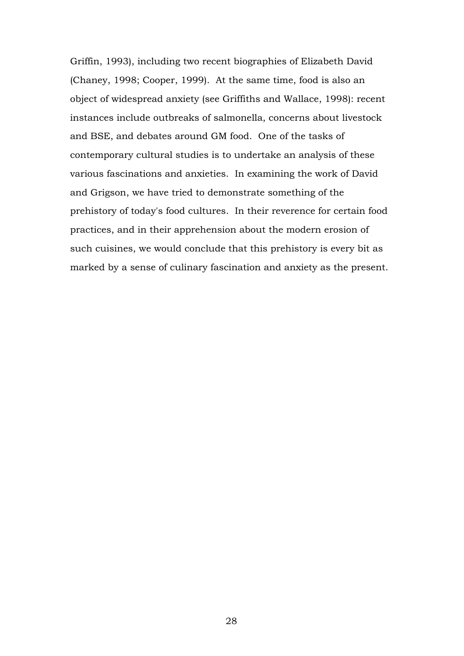Griffin, 1993), including two recent biographies of Elizabeth David (Chaney, 1998; Cooper, 1999). At the same time, food is also an object of widespread anxiety (see Griffiths and Wallace, 1998): recent instances include outbreaks of salmonella, concerns about livestock and BSE, and debates around GM food. One of the tasks of contemporary cultural studies is to undertake an analysis of these various fascinations and anxieties. In examining the work of David and Grigson, we have tried to demonstrate something of the prehistory of today's food cultures. In their reverence for certain food practices, and in their apprehension about the modern erosion of such cuisines, we would conclude that this prehistory is every bit as marked by a sense of culinary fascination and anxiety as the present.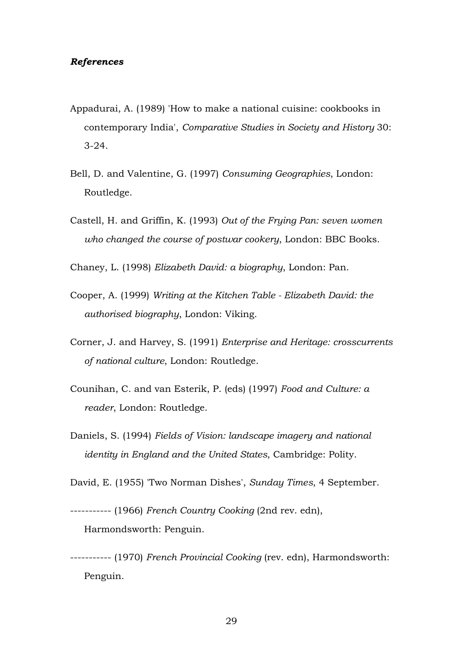#### *References*

- Appadurai, A. (1989) 'How to make a national cuisine: cookbooks in contemporary India', *Comparative Studies in Society and History* 30: 3-24.
- Bell, D. and Valentine, G. (1997) *Consuming Geographies*, London: Routledge.
- Castell, H. and Griffin, K. (1993) *Out of the Frying Pan: seven women who changed the course of postwar cookery*, London: BBC Books.

Chaney, L. (1998) *Elizabeth David: a biography*, London: Pan.

- Cooper, A. (1999) *Writing at the Kitchen Table Elizabeth David: the authorised biography*, London: Viking.
- Corner, J. and Harvey, S. (1991) *Enterprise and Heritage: crosscurrents of national culture*, London: Routledge.
- Counihan, C. and van Esterik, P. (eds) (1997) *Food and Culture: a reader*, London: Routledge.
- Daniels, S. (1994) *Fields of Vision: landscape imagery and national identity in England and the United States*, Cambridge: Polity.

David, E. (1955) 'Two Norman Dishes', *Sunday Times*, 4 September.

----------- (1966) *French Country Cooking* (2nd rev. edn), Harmondsworth: Penguin.

----------- (1970) *French Provincial Cooking* (rev. edn), Harmondsworth: Penguin.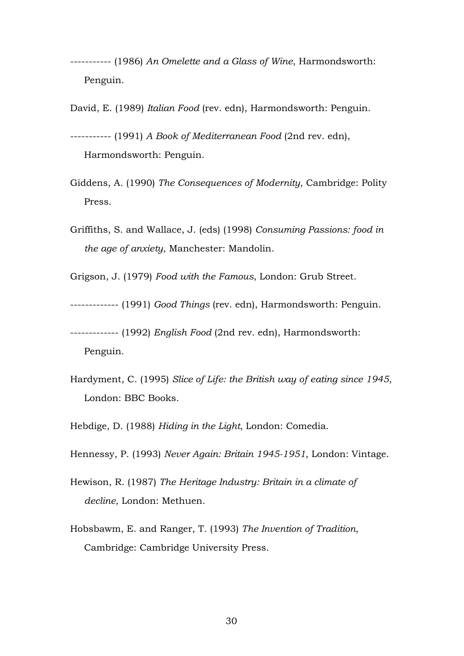----------- (1986) *An Omelette and a Glass of Wine*, Harmondsworth: Penguin.

David, E. (1989) *Italian Food* (rev. edn), Harmondsworth: Penguin.

----------- (1991) *A Book of Mediterranean Food* (2nd rev. edn), Harmondsworth: Penguin.

- Giddens, A. (1990) *The Consequences of Modernity*, Cambridge: Polity Press.
- Griffiths, S. and Wallace, J. (eds) (1998) *Consuming Passions: food in the age of anxiety*, Manchester: Mandolin.

Grigson, J. (1979) *Food with the Famous*, London: Grub Street.

------------- (1991) *Good Things* (rev. edn), Harmondsworth: Penguin.

------------- (1992) *English Food* (2nd rev. edn), Harmondsworth: Penguin.

- Hardyment, C. (1995) *Slice of Life: the British way of eating since 1945*, London: BBC Books.
- Hebdige, D. (1988) *Hiding in the Light*, London: Comedia.

Hennessy, P. (1993) *Never Again: Britain 1945-1951*, London: Vintage.

- Hewison, R. (1987) *The Heritage Industry: Britain in a climate of decline*, London: Methuen.
- Hobsbawm, E. and Ranger, T. (1993) *The Invention of Tradition*, Cambridge: Cambridge University Press.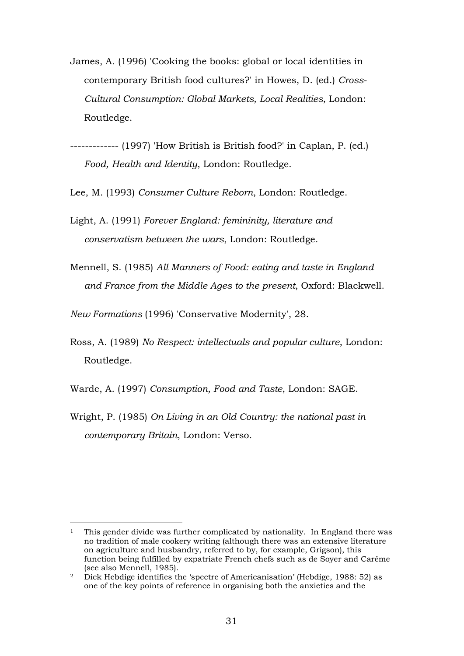- <span id="page-30-1"></span>James, A. (1996) 'Cooking the books: global or local identities in contemporary British food cultures?' in Howes, D. (ed.) *Cross-Cultural Consumption: Global Markets, Local Realities*, London: Routledge.
- ------------- (1997) 'How British is British food?' in Caplan, P. (ed.) *Food, Health and Identity*, London: Routledge.
- Lee, M. (1993) *Consumer Culture Reborn*, London: Routledge.
- Light, A. (1991) *Forever England: femininity, literature and conservatism between the wars*, London: Routledge.
- Mennell, S. (1985) *All Manners of Food: eating and taste in England and France from the Middle Ages to the present*, Oxford: Blackwell.

*New Formations* (1996) 'Conservative Modernity', 28.

- Ross, A. (1989) *No Respect: intellectuals and popular culture*, London: Routledge.
- Warde, A. (1997) *Consumption, Food and Taste*, London: SAGE.
- Wright, P. (1985) *On Living in an Old Country: the national past in contemporary Britain*, London: Verso.

<span id="page-30-0"></span><sup>-</sup>1 This gender divide was further complicated by nationality. In England there was no tradition of male cookery writing (although there was an extensive literature on agriculture and husbandry, referred to by, for example, Grigson), this function being fulfilled by expatriate French chefs such as de Soyer and Carême (see also Mennell, 1985).

<sup>&</sup>lt;sup>2</sup> Dick Hebdige identifies the 'spectre of Americanisation' (Hebdige, 1988: 52) as one of the key points of reference in organising both the anxieties and the